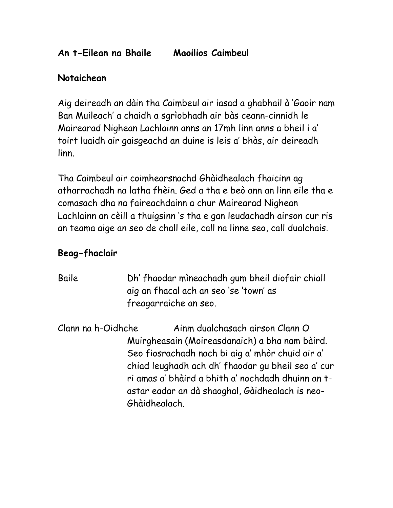## **An t-Eilean na Bhaile Maoilios Caimbeul**

## **Notaichean**

Aig deireadh an dàin tha Caimbeul air iasad a ghabhail à 'Gaoir nam Ban Muileach' a chaidh a sgrìobhadh air bàs ceann-cinnidh le Mairearad Nighean Lachlainn anns an 17mh linn anns a bheil i a' toirt luaidh air gaisgeachd an duine is leis a' bhàs, air deireadh linn.

Tha Caimbeul air coimhearsnachd Ghàidhealach fhaicinn ag atharrachadh na latha fhèin. Ged a tha e beò ann an linn eile tha e comasach dha na faireachdainn a chur Mairearad Nighean Lachlainn an cèill a thuigsinn 's tha e gan leudachadh airson cur ris an teama aige an seo de chall eile, call na linne seo, call dualchais.

# **Beag-fhaclair**

- Baile Dh' fhaodar mìneachadh gum bheil diofair chiall aig an fhacal ach an seo 'se 'town' as freagarraiche an seo.
- Clann na h-Oidhche Ainm dualchasach airson Clann O Muirgheasain (Moireasdanaich) a bha nam bàird. Seo fiosrachadh nach bi aig a' mhòr chuid air a' chiad leughadh ach dh' fhaodar gu bheil seo a' cur ri amas a' bhàird a bhith a' nochdadh dhuinn an tastar eadar an dà shaoghal, Gàidhealach is neo-Ghàidhealach.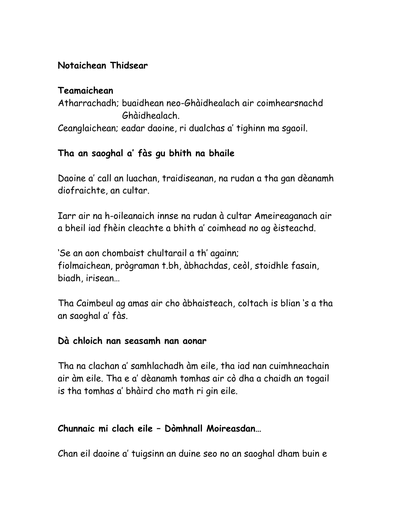# **Notaichean Thidsear**

## **Teamaichean**

Atharrachadh; buaidhean neo-Ghàidhealach air coimhearsnachd Ghàidhealach.

Ceanglaichean; eadar daoine, ri dualchas a' tighinn ma sgaoil.

# **Tha an saoghal a' fàs gu bhith na bhaile**

Daoine a' call an luachan, traidiseanan, na rudan a tha gan dèanamh diofraichte, an cultar.

Iarr air na h-oileanaich innse na rudan à cultar Ameireaganach air a bheil iad fhèin cleachte a bhith a' coimhead no ag èisteachd.

'Se an aon chombaist chultarail a th' againn; fiolmaichean, prògraman t.bh, àbhachdas, ceòl, stoidhle fasain, biadh, irisean…

Tha Caimbeul ag amas air cho àbhaisteach, coltach is blian 's a tha an saoghal a' fàs.

### **Dà chloich nan seasamh nan aonar**

Tha na clachan a' samhlachadh àm eile, tha iad nan cuimhneachain air àm eile. Tha e a' dèanamh tomhas air cò dha a chaidh an togail is tha tomhas a' bhàird cho math ri gin eile.

## **Chunnaic mi clach eile – Dòmhnall Moireasdan…**

Chan eil daoine a' tuigsinn an duine seo no an saoghal dham buin e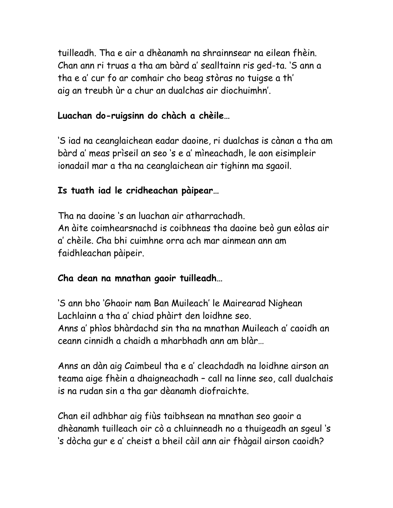tuilleadh. Tha e air a dhèanamh na shrainnsear na eilean fhèin. Chan ann ri truas a tha am bàrd a' sealltainn ris ged-ta. 'S ann a tha e a' cur fo ar comhair cho beag stòras no tuigse a th' aig an treubh ùr a chur an dualchas air diochuimhn'.

## **Luachan do-ruigsinn do chàch a chèile…**

'S iad na ceanglaichean eadar daoine, ri dualchas is cànan a tha am bàrd a' meas prìseil an seo 's e a' mìneachadh, le aon eisimpleir ionadail mar a tha na ceanglaichean air tighinn ma sgaoil.

# **Is tuath iad le cridheachan pàipear…**

Tha na daoine 's an luachan air atharrachadh. An àite coimhearsnachd is coibhneas tha daoine beò gun eòlas air a' chèile. Cha bhi cuimhne orra ach mar ainmean ann am faidhleachan pàipeir.

## **Cha dean na mnathan gaoir tuilleadh…**

'S ann bho 'Ghaoir nam Ban Muileach' le Mairearad Nighean Lachlainn a tha a' chiad phàirt den loidhne seo. Anns a' phìos bhàrdachd sin tha na mnathan Muileach a' caoidh an ceann cinnidh a chaidh a mharbhadh ann am blàr…

Anns an dàn aig Caimbeul tha e a' cleachdadh na loidhne airson an teama aige fhèin a dhaigneachadh – call na linne seo, call dualchais is na rudan sin a tha gar dèanamh diofraichte.

Chan eil adhbhar aig fiùs taibhsean na mnathan seo gaoir a dhèanamh tuilleach oir cò a chluinneadh no a thuigeadh an sgeul 's 's dòcha gur e a' cheist a bheil càil ann air fhàgail airson caoidh?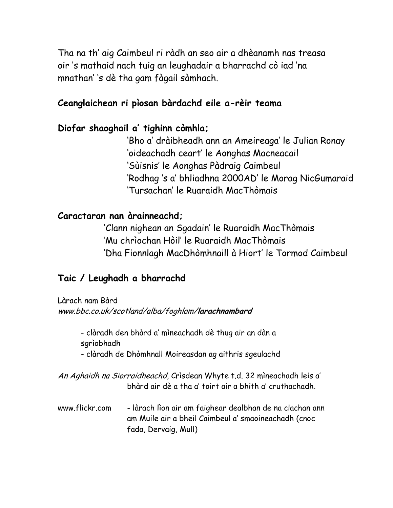Tha na th' aig Caimbeul ri ràdh an seo air a dhèanamh nas treasa oir 's mathaid nach tuig an leughadair a bharrachd cò iad 'na mnathan' 's dè tha gam fàgail sàmhach.

### **Ceanglaichean ri pìosan bàrdachd eile a-rèir teama**

### **Diofar shaoghail a' tighinn còmhla;**

'Bho a' dràibheadh ann an Ameireaga' le Julian Ronay 'oideachadh ceart' le Aonghas Macneacail 'Sùisnis' le Aonghas Pàdraig Caimbeul 'Rodhag 's a' bhliadhna 2000AD' le Morag NicGumaraid 'Tursachan' le Ruaraidh MacThòmais

### **Caractaran nan àrainneachd;**

'Clann nighean an Sgadain' le Ruaraidh MacThòmais 'Mu chrìochan Hòil' le Ruaraidh MacThòmais 'Dha Fionnlagh MacDhòmhnaill à Hiort' le Tormod Caimbeul

#### **Taic / Leughadh a bharrachd**

Làrach nam Bàrd www.bbc.co.uk/scotland/alba/foghlam/**larachnambard**

> - clàradh den bhàrd a' mìneachadh dè thug air an dàn a sgrìobhadh

- clàradh de Dhòmhnall Moireasdan ag aithris sgeulachd

An Aghaidh na Siorraidheachd, Crìsdean Whyte t.d. 32 mìneachadh leis a' bhàrd air dè a tha a' toirt air a bhith a' cruthachadh.

www.flickr.com - làrach lìon air am faighear dealbhan de na clachan ann am Muile air a bheil Caimbeul a' smaoineachadh (cnoc fada, Dervaig, Mull)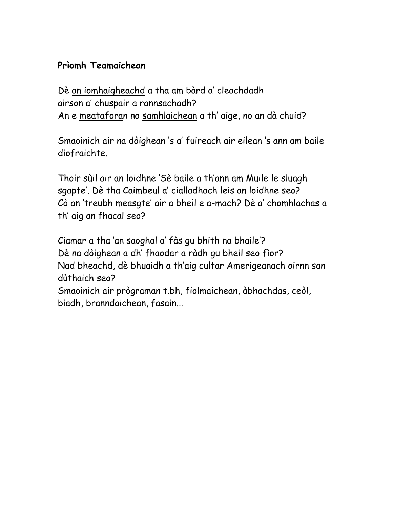## **Prìomh Teamaichean**

Dè an iomhaigheachd a tha am bàrd a' cleachdadh airson a' chuspair a rannsachadh? An e meataforan no samhlaichean a th' aige, no an dà chuid?

Smaoinich air na dòighean 's a' fuireach air eilean 's ann am baile diofraichte.

Thoir sùil air an loidhne 'Sè baile a th'ann am Muile le sluagh sgapte'. Dè tha Caimbeul a' cialladhach leis an loidhne seo? Cò an 'treubh measgte' air a bheil e a-mach? Dè a' chomhlachas a th' aig an fhacal seo?

Ciamar a tha 'an saoghal a' fàs gu bhith na bhaile'? Dè na dòighean a dh' fhaodar a ràdh gu bheil seo fìor? Nad bheachd, dè bhuaidh a th'aig cultar Amerigeanach oirnn san dùthaich seo? Smaoinich air prògraman t.bh, fiolmaichean, àbhachdas, ceòl, biadh, branndaichean, fasain...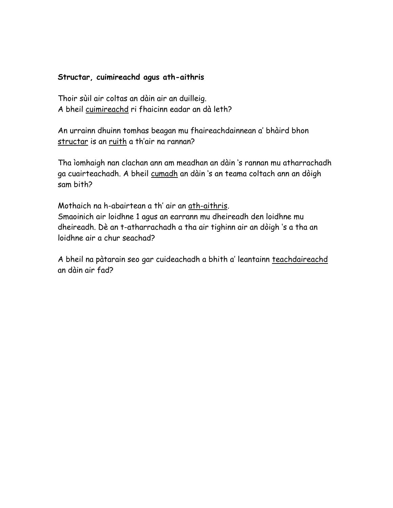#### **Structar, cuimireachd agus ath-aithris**

Thoir sùil air coltas an dàin air an duilleig. A bheil cuimireachd ri fhaicinn eadar an dà leth?

An urrainn dhuinn tomhas beagan mu fhaireachdainnean a' bhàird bhon structar is an ruith a th'air na rannan?

Tha ìomhaigh nan clachan ann am meadhan an dàin 's rannan mu atharrachadh ga cuairteachadh. A bheil cumadh an dàin 's an teama coltach ann an dòigh sam bith?

Mothaich na h-abairtean a th' air an ath-aithris. Smaoinich air loidhne 1 agus an earrann mu dheireadh den loidhne mu dheireadh. Dè an t-atharrachadh a tha air tighinn air an dòigh 's a tha an loidhne air a chur seachad?

A bheil na pàtarain seo gar cuideachadh a bhith a' leantainn teachdaireachd an dàin air fad?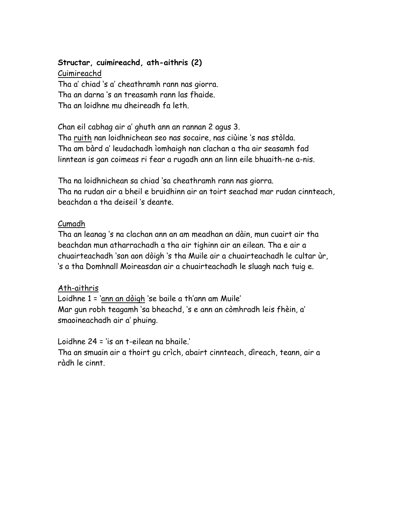### **Structar, cuimireachd, ath-aithris (2)**

Cuimireachd Tha a' chiad 's a' cheathramh rann nas giorra. Tha an darna 's an treasamh rann las fhaide. Tha an loidhne mu dheireadh fa leth.

Chan eil cabhag air a' ghuth ann an rannan 2 agus 3.

Tha ruith nan loidhnichean seo nas socaire, nas ciùine 's nas stòlda. Tha am bàrd a' leudachadh ìomhaigh nan clachan a tha air seasamh fad linntean is gan coimeas ri fear a rugadh ann an linn eile bhuaith-ne a-nis.

Tha na loidhnichean sa chiad 'sa cheathramh rann nas giorra. Tha na rudan air a bheil e bruidhinn air an toirt seachad mar rudan cinnteach, beachdan a tha deiseil 's deante.

#### Cumadh

Tha an leanag 's na clachan ann an am meadhan an dàin, mun cuairt air tha beachdan mun atharrachadh a tha air tighinn air an eilean. Tha e air a chuairteachadh 'san aon dòigh 's tha Muile air a chuairteachadh le cultar ùr, 's a tha Domhnall Moireasdan air a chuairteachadh le sluagh nach tuig e.

#### Ath-aithris

Loidhne 1 = 'ann an dòigh 'se baile a th'ann am Muile' Mar gun robh teagamh 'sa bheachd, 's e ann an còmhradh leis fhèin, a' smaoineachadh air a' phuing.

Loidhne 24 = 'is an t-eilean na bhaile.'

Tha an smuain air a thoirt gu crìch, abairt cinnteach, dìreach, teann, air a ràdh le cinnt.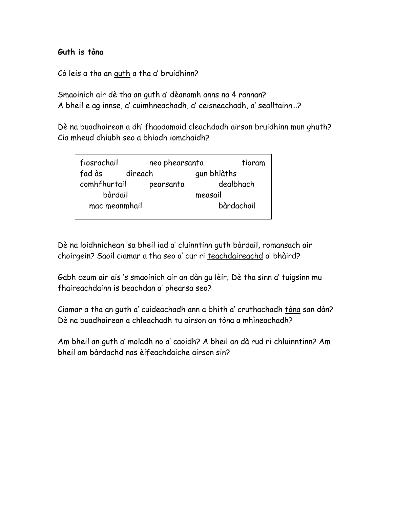#### **Guth is tòna**

Cò leis a tha an guth a tha a' bruidhinn?

Smaoinich air dè tha an guth a' dèanamh anns na 4 rannan? A bheil e ag innse, a' cuimhneachadh, a' ceisneachadh, a' sealltainn…?

Dè na buadhairean a dh' fhaodamaid cleachdadh airson bruidhinn mun ghuth? Cia mheud dhiubh seo a bhiodh iomchaidh?

| fiosrachail   |         | neo phearsanta |             | tioram |
|---------------|---------|----------------|-------------|--------|
| fad às        | dìreach |                | gun bhlàths |        |
| comhfhurtail  |         | pearsanta      | dealbhach   |        |
| bàrdail       |         |                | measail     |        |
| mac meanmhail |         |                | bàrdachail  |        |
|               |         |                |             |        |

Dè na loidhnichean 'sa bheil iad a' cluinntinn guth bàrdail, romansach air choirgein? Saoil ciamar a tha seo a' cur ri teachdaireachd a' bhàird?

Gabh ceum air ais 's smaoinich air an dàn gu lèir; Dè tha sinn a' tuigsinn mu fhaireachdainn is beachdan a' phearsa seo?

Ciamar a tha an guth a' cuideachadh ann a bhith a' cruthachadh tòna san dàn? Dè na buadhairean a chleachadh tu airson an tòna a mhìneachadh?

Am bheil an guth a' moladh no a' caoidh? A bheil an dà rud ri chluinntinn? Am bheil am bàrdachd nas èifeachdaiche airson sin?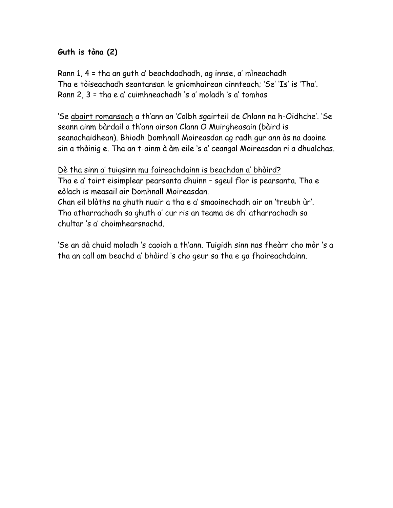### **Guth is tòna (2)**

Rann 1, 4 = tha an guth a' beachdadhadh, ag innse, a' mìneachadh Tha e tòiseachadh seantansan le gnìomhairean cinnteach; 'Se' 'Is' is 'Tha'. Rann 2, 3 = tha e a' cuimhneachadh 's a' moladh 's a' tomhas

'Se abairt romansach a th'ann an 'Colbh sgairteil de Chlann na h-Oidhche'. 'Se seann ainm bàrdail a th'ann airson Clann O Muirgheasain (bàird is seanachaidhean). Bhiodh Domhnall Moireasdan ag radh gur ann às na daoine sin a thàinig e. Tha an t-ainm à àm eile 's a' ceangal Moireasdan ri a dhualchas.

#### Dè tha sinn a' tuigsinn mu faireachdainn is beachdan a' bhàird?

Tha e a' toirt eisimplear pearsanta dhuinn – sgeul fìor is pearsanta. Tha e eòlach is measail air Domhnall Moireasdan.

Chan eil blàths na ghuth nuair a tha e a' smaoinechadh air an 'treubh ùr'. Tha atharrachadh sa ghuth a' cur ris an teama de dh' atharrachadh sa chultar 's a' choimhearsnachd.

'Se an dà chuid moladh 's caoidh a th'ann. Tuigidh sinn nas fheàrr cho mòr 's a tha an call am beachd a' bhàird 's cho geur sa tha e ga fhaireachdainn.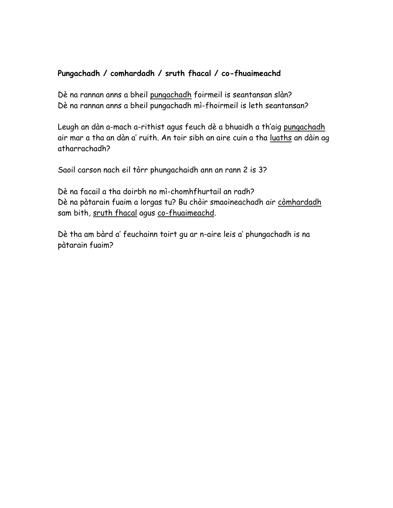#### **Pungachadh / comhardadh / sruth fhacal / co-fhuaimeachd**

Dè na rannan anns a bheil pungachadh foirmeil is seantansan slàn? Dè na rannan anns a bheil pungachadh mì-fhoirmeil is leth seantansan?

Leugh an dàn a-mach a-rithist agus feuch dè a bhuaidh a th'aig pungachadh air mar a tha an dàn a' ruith. An toir sibh an aire cuin a tha luaths an dàin ag atharrachadh?

Saoil carson nach eil tòrr phungachaidh ann an rann 2 is 3?

Dè na facail a tha doirbh no mì-chomhfhurtail an radh? Dè na pàtarain fuaim a lorgas tu? Bu chòir smaoineachadh air còmhardadh sam bith, sruth fhacal agus co-fhuaimeachd.

Dè tha am bàrd a' feuchainn toirt gu ar n-aire leis a' phungachadh is na pàtarain fuaim?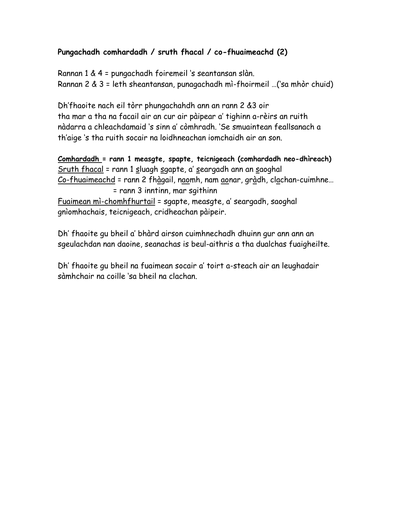### **Pungachadh comhardadh / sruth fhacal / co-fhuaimeachd (2)**

Rannan 1 & 4 = pungachadh foiremeil 's seantansan slàn. Rannan 2 & 3 = leth sheantansan, punagachadh mì-fhoirmeil …('sa mhòr chuid)

Dh'fhaoite nach eil tòrr phungachahdh ann an rann 2 &3 oir tha mar a tha na facail air an cur air pàipear a' tighinn a-rèirs an ruith nàdarra a chleachdamaid 's sinn a' còmhradh. 'Se smuaintean feallsanach a th'aige 's tha ruith socair na loidhneachan iomchaidh air an son.

**Comhardadh = rann 1 measgte, spapte, teicnigeach (comhardadh neo-dhìreach)** Sruth fhacal = rann 1 sluagh sgapte, a' seargadh ann an saoghal Co-fhuaimeachd = rann 2 fhàgail, naomh, nam aonar, gràdh, clachan-cuimhne… = rann 3 inntinn, mar sgithinn Fuaimean mì-chomhfhurtail = sgapte, measgte, a' seargadh, saoghal gnìomhachais, teicnigeach, cridheachan pàipeir.

Dh' fhaoite gu bheil a' bhàrd airson cuimhnechadh dhuinn gur ann ann an sgeulachdan nan daoine, seanachas is beul-aithris a tha dualchas fuaigheilte.

Dh' fhaoite gu bheil na fuaimean socair a' toirt a-steach air an leughadair sàmhchair na coille 'sa bheil na clachan.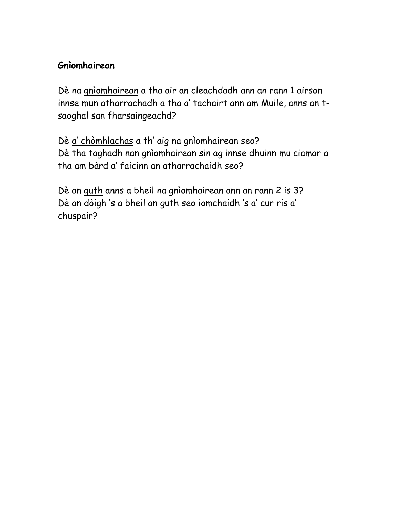### **Gnìomhairean**

Dè na gnìomhairean a tha air an cleachdadh ann an rann 1 airson innse mun atharrachadh a tha a' tachairt ann am Muile, anns an tsaoghal san fharsaingeachd?

Dè a' chòmhlachas a th' aig na gnìomhairean seo? Dè tha taghadh nan gnìomhairean sin ag innse dhuinn mu ciamar a tha am bàrd a' faicinn an atharrachaidh seo?

Dè an guth anns a bheil na gnìomhairean ann an rann 2 is 3? Dè an dòigh 's a bheil an guth seo iomchaidh 's a' cur ris a' chuspair?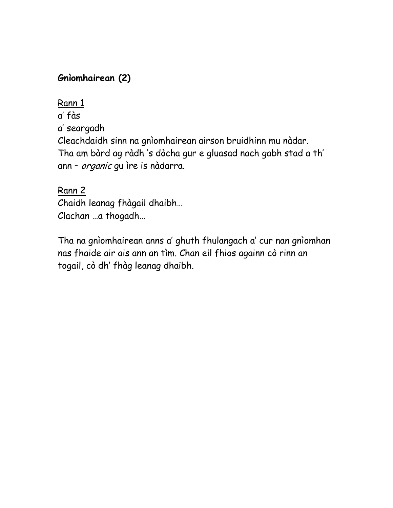# **Gnìomhairean (2)**

Rann 1 a' fàs a' seargadh Cleachdaidh sinn na gnìomhairean airson bruidhinn mu nàdar. Tha am bàrd ag ràdh 's dòcha gur e gluasad nach gabh stad a th' ann - organic gu ìre is nàdarra.

Rann 2 Chaidh leanag fhàgail dhaibh… Clachan …a thogadh…

Tha na gnìomhairean anns a' ghuth fhulangach a' cur nan gnìomhan nas fhaide air ais ann an tìm. Chan eil fhios againn cò rinn an togail, cò dh' fhàg leanag dhaibh.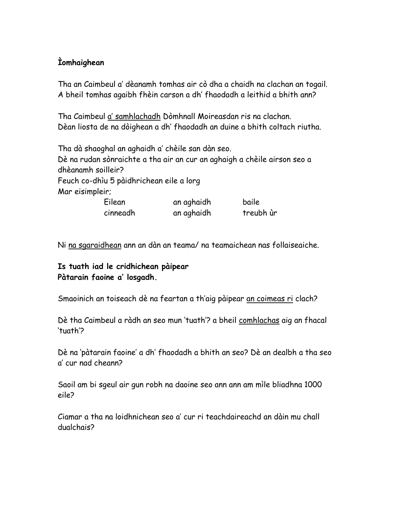### **Ìomhaighean**

Tha an Caimbeul a' dèanamh tomhas air cò dha a chaidh na clachan an togail. A bheil tomhas agaibh fhèin carson a dh' fhaodadh a leithid a bhith ann?

Tha Caimbeul a' samhlachadh Dòmhnall Moireasdan ris na clachan. Dèan liosta de na dòighean a dh' fhaodadh an duine a bhith coltach riutha.

Tha dà shaoghal an aghaidh a' chèile san dàn seo. Dè na rudan sònraichte a tha air an cur an aghaigh a chèile airson seo a dhèanamh soilleir? Feuch co-dhìu 5 pàidhrichean eile a lorg Mar eisimpleir;

| Eilean   | an aghaidh | baile     |
|----------|------------|-----------|
| cinneadh | an aghaidh | treubh ùr |

Ni na sgaraidhean ann an dàn an teama/ na teamaichean nas follaiseaiche.

**Is tuath iad le cridhichean pàipear Pàtarain faoine a' losgadh.**

Smaoinich an toiseach dè na feartan a th'aig pàipear an coimeas ri clach?

Dè tha Caimbeul a ràdh an seo mun 'tuath'? a bheil comhlachas aig an fhacal 'tuath'?

Dè na 'pàtarain faoine' a dh' fhaodadh a bhith an seo? Dè an dealbh a tha seo a' cur nad cheann?

Saoil am bi sgeul air gun robh na daoine seo ann ann am mìle bliadhna 1000 eile?

Ciamar a tha na loidhnichean seo a' cur ri teachdaireachd an dàin mu chall dualchais?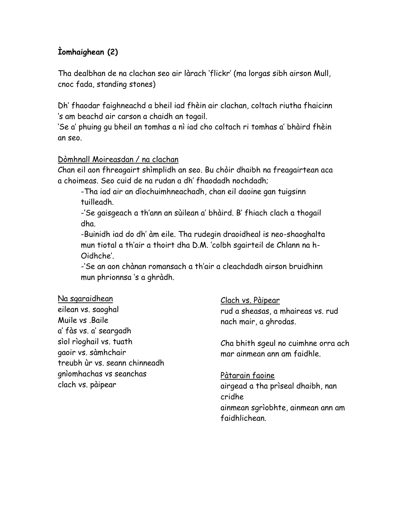### **Ìomhaighean (2)**

Tha dealbhan de na clachan seo air làrach 'flickr' (ma lorgas sibh airson Mull, cnoc fada, standing stones)

Dh' fhaodar faighneachd a bheil iad fhèin air clachan, coltach riutha fhaicinn 's am beachd air carson a chaidh an togail.

'Se a' phuing gu bheil an tomhas a nì iad cho coltach ri tomhas a' bhàird fhèin an seo.

#### Dòmhnall Moireasdan / na clachan

Chan eil aon fhreagairt shìmplidh an seo. Bu chòir dhaibh na freagairtean aca a choimeas. Seo cuid de na rudan a dh' fhaodadh nochdadh;

-Tha iad air an dìochuimhneachadh, chan eil daoine gan tuigsinn tuilleadh.

-'Se gaisgeach a th'ann an sùilean a' bhàird. B' fhiach clach a thogail dha.

-Buinidh iad do dh' àm eile. Tha rudegin draoidheal is neo-shaoghalta mun tiotal a th'air a thoirt dha D.M. 'colbh sgairteil de Chlann na h-Oidhche'.

-'Se an aon chànan romansach a th'air a cleachdadh airson bruidhinn mun phrionnsa 's a ghràdh.

#### Na sgaraidhean

eilean vs. saoghal Muile vs .Baile a' fàs vs. a' seargadh sìol rìoghail vs. tuath gaoir vs. sàmhchair treubh ùr vs. seann chinneadh gnìomhachas vs seanchas clach vs. pàipear

Clach vs. Pàipear rud a sheasas, a mhaireas vs. rud nach mair, a ghrodas.

Cha bhith sgeul no cuimhne orra ach mar ainmean ann am faidhle.

### Pàtarain faoine

airgead a tha prìseal dhaibh, nan cridhe ainmean sgrìobhte, ainmean ann am faidhlichean.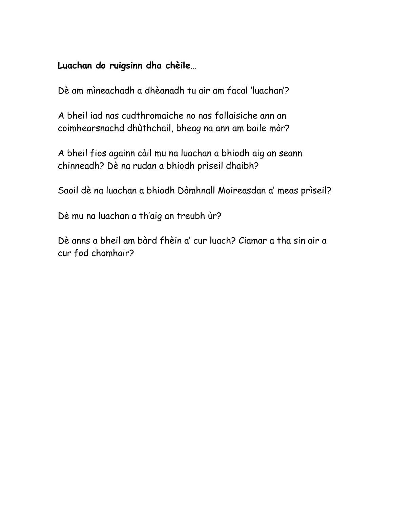### **Luachan do ruigsinn dha chèile…**

Dè am mìneachadh a dhèanadh tu air am facal 'luachan'?

A bheil iad nas cudthromaiche no nas follaisiche ann an coimhearsnachd dhùthchail, bheag na ann am baile mòr?

A bheil fios againn càil mu na luachan a bhiodh aig an seann chinneadh? Dè na rudan a bhiodh prìseil dhaibh?

Saoil dè na luachan a bhiodh Dòmhnall Moireasdan a' meas prìseil?

Dè mu na luachan a th'aig an treubh ùr?

Dè anns a bheil am bàrd fhèin a' cur luach? Ciamar a tha sin air a cur fod chomhair?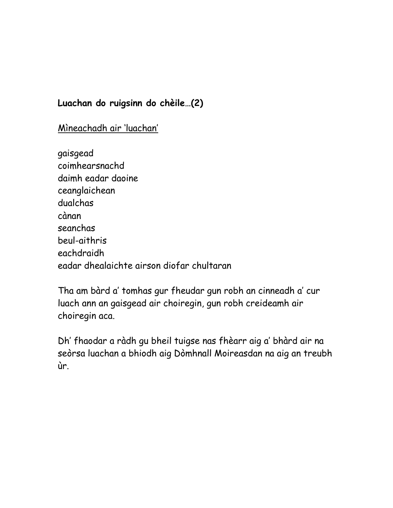## **Luachan do ruigsinn do chèile…(2)**

Mìneachadh air 'luachan'

gaisgead coimhearsnachd daimh eadar daoine ceanglaichean dualchas cànan seanchas beul-aithris eachdraidh eadar dhealaichte airson diofar chultaran

Tha am bàrd a' tomhas gur fheudar gun robh an cinneadh a' cur luach ann an gaisgead air choiregin, gun robh creideamh air choiregin aca.

Dh' fhaodar a ràdh gu bheil tuigse nas fhèarr aig a' bhàrd air na seòrsa luachan a bhiodh aig Dòmhnall Moireasdan na aig an treubh ùr.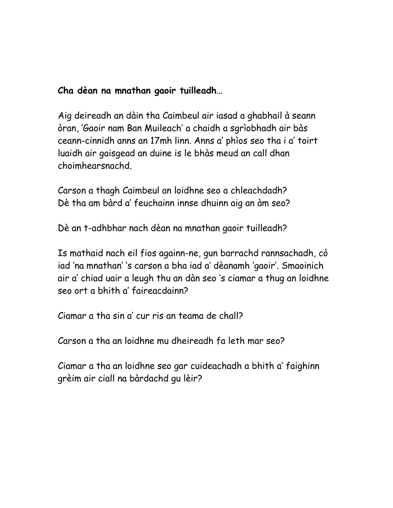### **Cha dèan na mnathan gaoir tuilleadh…**

Aig deireadh an dàin tha Caimbeul air iasad a ghabhail à seann òran, 'Gaoir nam Ban Muileach' a chaidh a sgrìobhadh air bàs ceann-cinnidh anns an 17mh linn. Anns a' phìos seo tha i a' toirt luaidh air gaisgead an duine is le bhàs meud an call dhan choimhearsnachd.

Carson a thagh Caimbeul an loidhne seo a chleachdadh? Dè tha am bàrd a' feuchainn innse dhuinn aig an àm seo?

Dè an t-adhbhar nach dèan na mnathan gaoir tuilleadh?

Is mathaid nach eil fios againn-ne, gun barrachd rannsachadh, cò iad 'na mnathan' 's carson a bha iad a' dèanamh 'gaoir'. Smaoinich air a' chiad uair a leugh thu an dàn seo 's ciamar a thug an loidhne seo ort a bhith a' faireacdainn?

Ciamar a tha sin a' cur ris an teama de chall?

Carson a tha an loidhne mu dheireadh fa leth mar seo?

Ciamar a tha an loidhne seo gar cuideachadh a bhith a' faighinn grèim air ciall na bàrdachd gu lèir?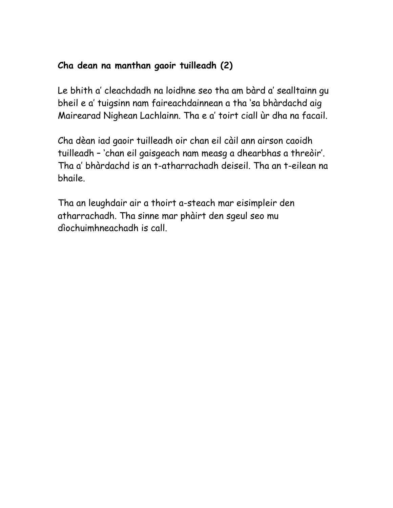# **Cha dean na manthan gaoir tuilleadh (2)**

Le bhith a' cleachdadh na loidhne seo tha am bàrd a' sealltainn gu bheil e a' tuigsinn nam faireachdainnean a tha 'sa bhàrdachd aig Mairearad Nighean Lachlainn. Tha e a' toirt ciall ùr dha na facail.

Cha dèan iad gaoir tuilleadh oir chan eil càil ann airson caoidh tuilleadh – 'chan eil gaisgeach nam measg a dhearbhas a threòir'. Tha a' bhàrdachd is an t-atharrachadh deiseil. Tha an t-eilean na bhaile.

Tha an leughdair air a thoirt a-steach mar eisimpleir den atharrachadh. Tha sinne mar phàirt den sgeul seo mu dìochuimhneachadh is call.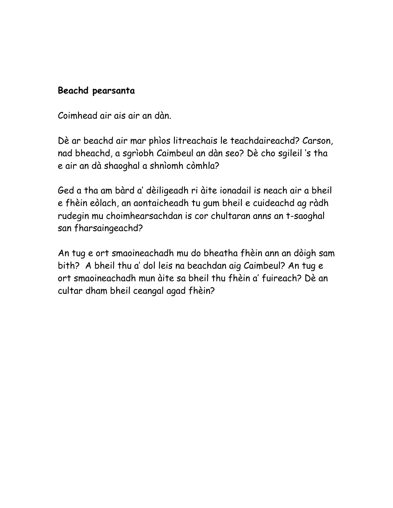### **Beachd pearsanta**

Coimhead air ais air an dàn.

Dè ar beachd air mar phìos litreachais le teachdaireachd? Carson, nad bheachd, a sgrìobh Caimbeul an dàn seo? Dè cho sgileil 's tha e air an dà shaoghal a shnìomh còmhla?

Ged a tha am bàrd a' dèiligeadh ri àite ionadail is neach air a bheil e fhèin eòlach, an aontaicheadh tu gum bheil e cuideachd ag ràdh rudegin mu choimhearsachdan is cor chultaran anns an t-saoghal san fharsaingeachd?

An tug e ort smaoineachadh mu do bheatha fhèin ann an dòigh sam bith? A bheil thu a' dol leis na beachdan aig Caimbeul? An tug e ort smaoineachadh mun àite sa bheil thu fhèin a' fuireach? Dè an cultar dham bheil ceangal agad fhèin?